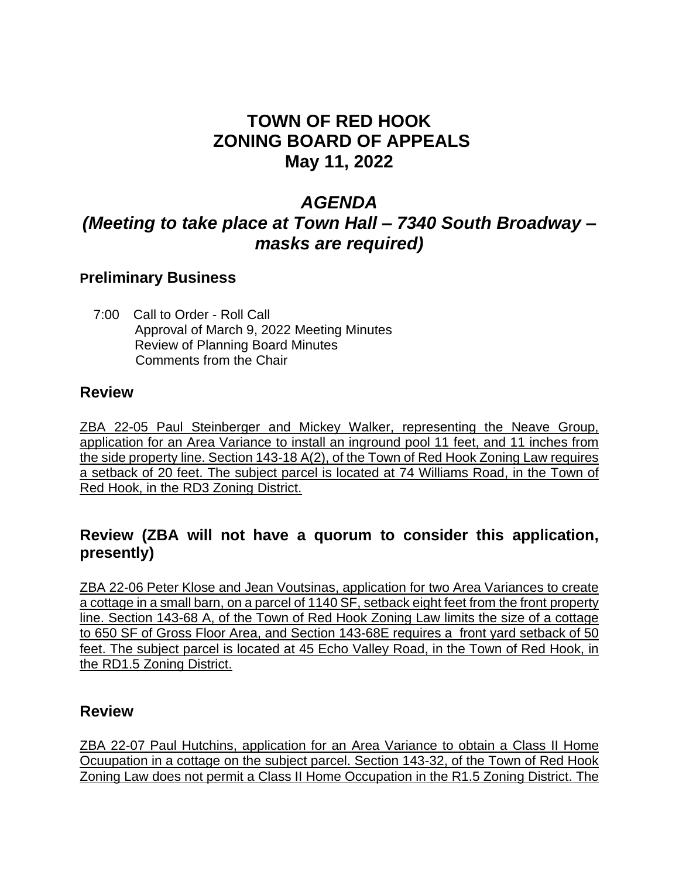# **TOWN OF RED HOOK ZONING BOARD OF APPEALS May 11, 2022**

## *AGENDA*

# *(Meeting to take place at Town Hall – 7340 South Broadway – masks are required)*

### **Preliminary Business**

 7:00 Call to Order - Roll Call Approval of March 9, 2022 Meeting Minutes Review of Planning Board Minutes Comments from the Chair

#### **Review**

ZBA 22-05 Paul Steinberger and Mickey Walker, representing the Neave Group, application for an Area Variance to install an inground pool 11 feet, and 11 inches from the side property line. Section 143-18 A(2), of the Town of Red Hook Zoning Law requires a setback of 20 feet. The subject parcel is located at 74 Williams Road, in the Town of Red Hook, in the RD3 Zoning District.

## **Review (ZBA will not have a quorum to consider this application, presently)**

ZBA 22-06 Peter Klose and Jean Voutsinas, application for two Area Variances to create a cottage in a small barn, on a parcel of 1140 SF, setback eight feet from the front property line. Section 143-68 A, of the Town of Red Hook Zoning Law limits the size of a cottage to 650 SF of Gross Floor Area, and Section 143-68E requires a front yard setback of 50 feet. The subject parcel is located at 45 Echo Valley Road, in the Town of Red Hook, in the RD1.5 Zoning District.

#### **Review**

ZBA 22-07 Paul Hutchins, application for an Area Variance to obtain a Class II Home Ocuupation in a cottage on the subject parcel. Section 143-32, of the Town of Red Hook Zoning Law does not permit a Class II Home Occupation in the R1.5 Zoning District. The